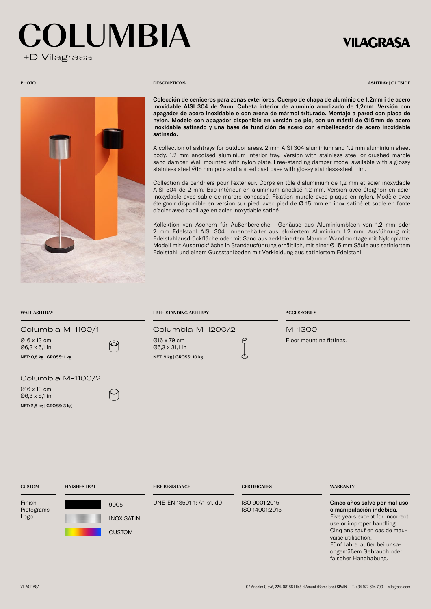# OLUMBIA I+D Vilagrasa

## **VILAGRASA**



#### **PHOTO** DESCRIPTIONS

ASHTRAY | OUTSIDE

Colección de ceniceros para zonas exteriores. Cuerpo de chapa de aluminio de 1,2mm i de acero inoxidable AISI 304 de 2mm. Cubeta interior de aluminio anodizado de 1,2mm. Versión con apagador de acero inoxidable o con arena de mármol triturado. Montaje a pared con placa de nylon. Modelo con apagador disponible en versión de pie, con un mástil de Ø15mm de acero inoxidable satinado y una base de fundición de acero con embellecedor de acero inoxidable satinado.

A collection of ashtrays for outdoor areas. 2 mm AISI 304 aluminium and 1.2 mm aluminium sheet body. 1.2 mm anodised aluminium interior tray. Version with stainless steel or crushed marble sand damper. Wall mounted with nylon plate. Free-standing damper model available with a glossy stainless steel Ø15 mm pole and a steel cast base with glossy stainless-steel trim.

Collection de cendriers pour l'extérieur. Corps en tôle d'aluminium de 1,2 mm et acier inoxydable AISI 304 de 2 mm. Bac intérieur en aluminium anodisé 1,2 mm. Version avec éteignoir en acier inoxydable avec sable de marbre concassé. Fixation murale avec plaque en nylon. Modèle avec éteignoir disponible en version sur pied, avec pied de Ø 15 mm en inox satiné et socle en fonte d'acier avec habillage en acier inoxydable satiné.

Kollektion von Aschern für Außenbereiche. Gehäuse aus Aluminiumblech von 1,2 mm oder 2 mm Edelstahl AISI 304. Innenbehälter aus eloxiertem Aluminium 1,2 mm. Ausführung mit Edelstahlausdrückfläche oder mit Sand aus zerkleinertem Marmor. Wandmontage mit Nylonplatte. Modell mit Ausdrückfläche in Standausführung erhältlich, mit einer Ø 15 mm Säule aus satiniertem Edelstahl und einem Gussstahlboden mit Verkleidung aus satiniertem Edelstahl.

| <b>WALL ASHTRAY</b>                                                            |                       |                                            | <b>FREE-STANDING ASHTRAY</b>                                                   |                                 | <b>ACCESSORIES</b>                 |                                                                                                                                                                                                               |
|--------------------------------------------------------------------------------|-----------------------|--------------------------------------------|--------------------------------------------------------------------------------|---------------------------------|------------------------------------|---------------------------------------------------------------------------------------------------------------------------------------------------------------------------------------------------------------|
| Columbia M-1100/1<br>Ø16 x 13 cm<br>Ø6,3 x 5,1 in<br>NET: 0,8 kg   GROSS: 1 kg |                       |                                            | Columbia M-1200/2<br>Ø16 x 79 cm<br>Ø6,3 x 31,1 in<br>NET: 9 kg   GROSS: 10 kg | U<br>O                          | M-1300<br>Floor mounting fittings. |                                                                                                                                                                                                               |
| Ø16 x 13 cm<br>Ø6,3 x 5,1 in<br>NET: 2,8 kg   GROSS: 3 kg                      | Columbia M-1100/2     |                                            |                                                                                |                                 |                                    |                                                                                                                                                                                                               |
| <b>CUSTOM</b>                                                                  | <b>FINISHES   RAL</b> |                                            | <b>FIRE RESISTANCE</b>                                                         | <b>CERTIFICATES</b>             |                                    | <b>WARRANTY</b>                                                                                                                                                                                               |
| Finish<br>Pictograms<br>Logo                                                   |                       | 9005<br><b>INOX SATIN</b><br><b>CUSTOM</b> | UNE-EN 13501-1: A1-s1, d0                                                      | ISO 9001:2015<br>ISO 14001:2015 |                                    | Cinco años salvo por mal uso<br>o manipulación indebida.<br>Five years except for incorrect<br>use or improper handling.<br>Cinq ans sauf en cas de mau-<br>vaise utilisation.<br>Fünf Jahre, außer bei unsa- |

chgemäßem Gebrauch oder falscher Handhabung.